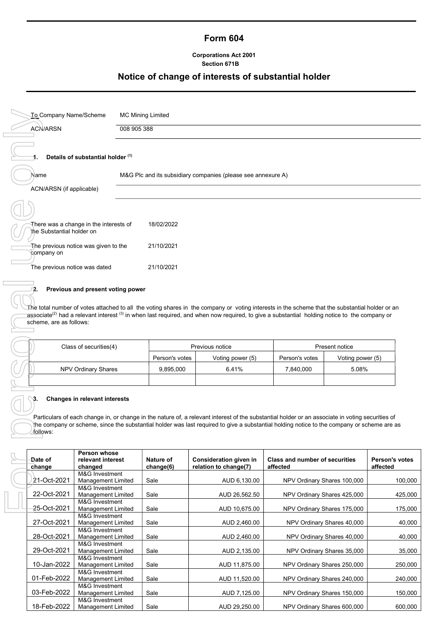# Form 604

### Corporations Act 2001 Section 671B

# Notice of change of interests of substantial holder

| To Company Name/Scheme        |                                             | <b>MC Mining Limited</b> |                                                                                                                                                                                                                                                                                                                        |                                       |                  |                |
|-------------------------------|---------------------------------------------|--------------------------|------------------------------------------------------------------------------------------------------------------------------------------------------------------------------------------------------------------------------------------------------------------------------------------------------------------------|---------------------------------------|------------------|----------------|
| <b>ACN/ARSN</b>               | 008 905 388                                 |                          |                                                                                                                                                                                                                                                                                                                        |                                       |                  |                |
|                               | Details of substantial holder (1)           |                          |                                                                                                                                                                                                                                                                                                                        |                                       |                  |                |
| Name                          |                                             |                          | M&G Plc and its subsidiary companies (please see annexure A)                                                                                                                                                                                                                                                           |                                       |                  |                |
| ACN/ARSN (if applicable)      |                                             |                          |                                                                                                                                                                                                                                                                                                                        |                                       |                  |                |
|                               |                                             |                          |                                                                                                                                                                                                                                                                                                                        |                                       |                  |                |
| the Substantial holder on     | There was a change in the interests of      | 18/02/2022               |                                                                                                                                                                                                                                                                                                                        |                                       |                  |                |
| company on                    | The previous notice was given to the        | 21/10/2021               |                                                                                                                                                                                                                                                                                                                        |                                       |                  |                |
| The previous notice was dated |                                             | 21/10/2021               |                                                                                                                                                                                                                                                                                                                        |                                       |                  |                |
| scheme, are as follows:       |                                             |                          | The total number of votes attached to all the voting shares in the company or voting interests in the scheme that the substantial holder or an<br>associate <sup>(2)</sup> had a relevant interest <sup>(3)</sup> in when last required, and when now required, to give a substantial holding notice to the company or |                                       |                  |                |
|                               | Class of securities(4)                      |                          | Previous notice                                                                                                                                                                                                                                                                                                        |                                       | Present notice   |                |
|                               |                                             | Person's votes           | Voting power (5)                                                                                                                                                                                                                                                                                                       | Person's votes                        | Voting power (5) |                |
|                               | NPV Ordinary Shares                         | 9,895,000                | 6.41%                                                                                                                                                                                                                                                                                                                  | 7,840,000                             | 5.08%            |                |
| follows:                      | Changes in relevant interests               |                          | Particulars of each change in, or change in the nature of, a relevant interest of the substantial holder or an associate in voting securities of<br>the company or scheme, since the substantial holder was last required to give a substantial holding notice to the company or scheme are as                         |                                       |                  |                |
| Date of                       | Person whose<br>relevant interest           | Nature of                | Consideration given in                                                                                                                                                                                                                                                                                                 | <b>Class and number of securities</b> |                  | Person's votes |
| change                        | changed<br>M&G Investment                   | change(6)                | relation to change(7)                                                                                                                                                                                                                                                                                                  | affected                              |                  | affected       |
| 21-Oct-2021                   | <b>Management Limited</b><br>M&G Investment | Sale                     | AUD 6,130.00                                                                                                                                                                                                                                                                                                           | NPV Ordinary Shares 100,000           |                  | 100,000        |
| 22-Oct-2021                   | Management Limited                          | Sale                     | AUD 26,562.50                                                                                                                                                                                                                                                                                                          | NPV Ordinary Shares 425,000           |                  | 425,000        |
| 25-Oct-2021                   | M&G Investment<br><b>Management Limited</b> | Sale                     | AUD 10,675.00                                                                                                                                                                                                                                                                                                          | NPV Ordinary Shares 175,000           |                  | 175,000        |

### 2. Previous and present voting power

| Class of securities(4) |                | Previous notice  |                | Present notice   |
|------------------------|----------------|------------------|----------------|------------------|
|                        | Person's votes | Voting power (5) | Person's votes | Voting power (5) |
| NPV Ordinary Shares    | 9,895,000      | 6.41%            | 7.840.000      | 5.08%            |
|                        |                |                  |                |                  |

### 3. Changes in relevant interests

| Date of<br>change | Person whose<br>relevant interest<br>changed | Nature of<br>change(6) | Consideration given in<br>relation to change(7) | <b>Class and number of securities</b><br>affected | <b>Person's votes</b><br>affected |
|-------------------|----------------------------------------------|------------------------|-------------------------------------------------|---------------------------------------------------|-----------------------------------|
| 21-Oct-2021       | M&G Investment<br><b>Management Limited</b>  | Sale                   | AUD 6,130.00                                    | NPV Ordinary Shares 100,000                       | 100,000                           |
| 22-Oct-2021       | M&G Investment<br><b>Management Limited</b>  | Sale                   | AUD 26,562.50                                   | NPV Ordinary Shares 425,000                       | 425,000                           |
| 25-Oct-2021       | M&G Investment<br><b>Management Limited</b>  | Sale                   | AUD 10,675.00                                   | NPV Ordinary Shares 175,000                       | 175,000                           |
| 27-Oct-2021       | M&G Investment<br><b>Management Limited</b>  | Sale                   | AUD 2,460.00                                    | NPV Ordinary Shares 40,000                        | 40,000                            |
| 28-Oct-2021       | M&G Investment<br><b>Management Limited</b>  | Sale                   | AUD 2,460.00                                    | NPV Ordinary Shares 40,000                        | 40,000                            |
| 29-Oct-2021       | M&G Investment<br><b>Management Limited</b>  | Sale                   | AUD 2,135.00                                    | NPV Ordinary Shares 35,000                        | 35,000                            |
| 10-Jan-2022       | M&G Investment<br><b>Management Limited</b>  | Sale                   | AUD 11,875.00                                   | NPV Ordinary Shares 250,000                       | 250,000                           |
| 01-Feb-2022       | M&G Investment<br>Management Limited         | Sale                   | AUD 11,520.00                                   | NPV Ordinary Shares 240,000                       | 240,000                           |
| 03-Feb-2022       | M&G Investment<br><b>Management Limited</b>  | Sale                   | AUD 7,125.00                                    | NPV Ordinary Shares 150,000                       | 150,000                           |
| 18-Feb-2022       | M&G Investment<br><b>Management Limited</b>  | Sale                   | AUD 29,250.00                                   | NPV Ordinary Shares 600,000                       | 600,000                           |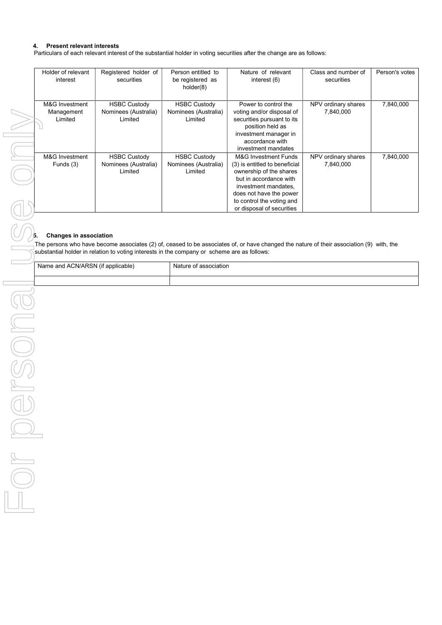### 4. Present relevant interests

Particulars of each relevant interest of the substantial holder in voting securities after the change are as follows:

| Holder of relevant | Registered holder of | Person entitled to   | Nature of relevant              | Class and number of | Person's votes |
|--------------------|----------------------|----------------------|---------------------------------|---------------------|----------------|
| interest           | securities           | be registered as     | interest (6)                    | securities          |                |
|                    |                      | holder(8)            |                                 |                     |                |
|                    |                      |                      |                                 |                     |                |
|                    |                      |                      |                                 |                     |                |
| M&G Investment     | <b>HSBC Custody</b>  | <b>HSBC Custody</b>  | Power to control the            | NPV ordinary shares | 7,840,000      |
| Management         | Nominees (Australia) | Nominees (Australia) | voting and/or disposal of       | 7,840,000           |                |
| Limited            | Limited              | Limited              | securities pursuant to its      |                     |                |
|                    |                      |                      | position held as                |                     |                |
|                    |                      |                      | investment manager in           |                     |                |
|                    |                      |                      | accordance with                 |                     |                |
|                    |                      |                      | investment mandates             |                     |                |
| M&G Investment     | <b>HSBC Custody</b>  | <b>HSBC Custody</b>  | <b>M&amp;G Investment Funds</b> | NPV ordinary shares | 7,840,000      |
| Funds (3)          | Nominees (Australia) | Nominees (Australia) | (3) is entitled to beneficial   | 7.840.000           |                |
|                    | Limited              | Limited              | ownership of the shares         |                     |                |
|                    |                      |                      | but in accordance with          |                     |                |
|                    |                      |                      | investment mandates,            |                     |                |
|                    |                      |                      | does not have the power         |                     |                |
|                    |                      |                      | to control the voting and       |                     |                |
|                    |                      |                      | or disposal of securities       |                     |                |

# **b.** Changes in association

 $\bar{q}$ The persons who have become associates (2) of, ceased to be associates of, or have changed the nature of their association (9) with, the The persons who have become associates (z) or, ceased to be decoupdance are as follows:<br>Substantial holder in relation to voting interests in the company or scheme are as follows:

| Name and ACN/ARSN (if applicable) | Nature of association |
|-----------------------------------|-----------------------|
|                                   |                       |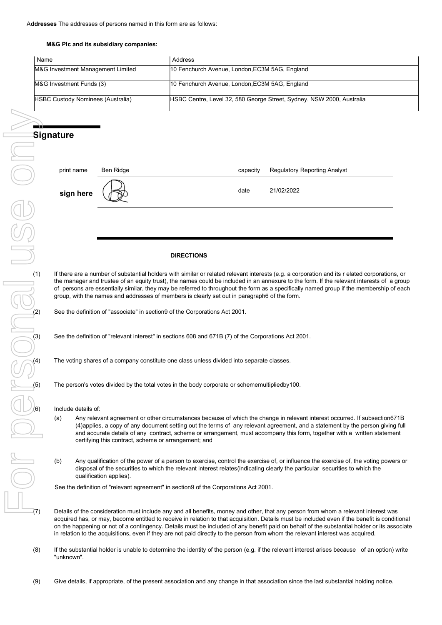### M&G Plc and its subsidiary companies:

| Name                                     | . Address                                                             |
|------------------------------------------|-----------------------------------------------------------------------|
| M&G Investment Management Limited        | 10 Fenchurch Avenue, London, EC3M 5AG, England                        |
| M&G Investment Funds (3)                 | 10 Fenchurch Avenue, London, EC3M 5AG, England                        |
| <b>HSBC Custody Nominees (Australia)</b> | HSBC Centre, Level 32, 580 George Street, Sydney, NSW 2000, Australia |

| print name | Ben Ridge | capacity | <b>Regulatory Reporting Analyst</b> |
|------------|-----------|----------|-------------------------------------|
| sign here  |           | date     | 21/02/2022                          |

### **DIRECTIONS**

If there are a number of substantial holders with similar or related relevant interests (e.g. a corporation and its r elated corporations, or the manager and trustee of an equity trust), the names could be included in an annexure to the form. If the relevant interests of a group of persons are essentially similar, they may be referred to throughout the form as a specifically named group if the membership of each group, with the names and addresses of members is clearly set out in paragraph6 of the form.

See the definition of "associate" in section9 of the Corporations Act 2001.

See the definition of "relevant interest" in sections 608 and 671B (7) of the Corporations Act 2001.

The voting shares of a company constitute one class unless divided into separate classes.

The person's votes divided by the total votes in the body corporate or schememultipliedby100.

Include details of:

- (a) Any relevant agreement or other circumstances because of which the change in relevant interest occurred. If subsection671B (4)applies, a copy of any document setting out the terms of any relevant agreement, and a statement by the person giving full and accurate details of any contract, scheme or arrangement, must accompany this form, together with a written statement certifying this contract, scheme or arrangement; and
- (b) Any qualification of the power of a person to exercise, control the exercise of, or influence the exercise of, the voting powers or disposal of the securities to which the relevant interest relates(indicating clearly the particular securities to which the qualification applies).

See the definition of "relevant agreement" in section9 of the Corporations Act 2001.

Details of the consideration must include any and all benefits, money and other, that any person from whom a relevant interest was acquired has, or may, become entitled to receive in relation to that acquisition. Details must be included even if the benefit is conditional on the happening or not of a contingency. Details must be included of any benefit paid on behalf of the substantial holder or its associate in relation to the acquisitions, even if they are not paid directly to the person from whom the relevant interest was acquired.

- (8) If the substantial holder is unable to determine the identity of the person (e.g. if the relevant interest arises because of an option) write "unknown".
-